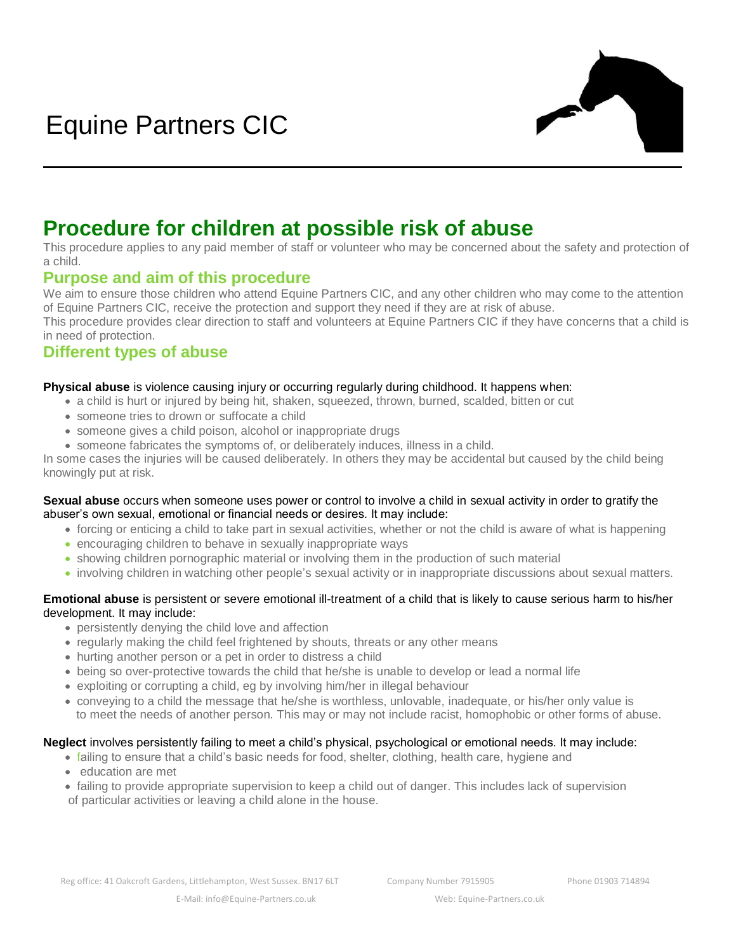

# **Procedure for children at possible risk of abuse**

This procedure applies to any paid member of staff or volunteer who may be concerned about the safety and protection of a child.

### **Purpose and aim of this procedure**

We aim to ensure those children who attend Equine Partners CIC, and any other children who may come to the attention of Equine Partners CIC, receive the protection and support they need if they are at risk of abuse.

This procedure provides clear direction to staff and volunteers at Equine Partners CIC if they have concerns that a child is in need of protection.

### **Different types of abuse**

#### **Physical abuse** is violence causing injury or occurring regularly during childhood. It happens when:

- a child is hurt or injured by being hit, shaken, squeezed, thrown, burned, scalded, bitten or cut
- someone tries to drown or suffocate a child
- someone gives a child poison, alcohol or inappropriate drugs
- someone fabricates the symptoms of, or deliberately induces, illness in a child.

In some cases the injuries will be caused deliberately. In others they may be accidental but caused by the child being knowingly put at risk.

#### **Sexual abuse** occurs when someone uses power or control to involve a child in sexual activity in order to gratify the abuser's own sexual, emotional or financial needs or desires. It may include:

- forcing or enticing a child to take part in sexual activities, whether or not the child is aware of what is happening
- encouraging children to behave in sexually inappropriate ways
- showing children pornographic material or involving them in the production of such material
- involving children in watching other people's sexual activity or in inappropriate discussions about sexual matters.

#### **Emotional abuse** is persistent or severe emotional ill-treatment of a child that is likely to cause serious harm to his/her development. It may include:

- persistently denying the child love and affection
- regularly making the child feel frightened by shouts, threats or any other means
- hurting another person or a pet in order to distress a child
- being so over-protective towards the child that he/she is unable to develop or lead a normal life
- exploiting or corrupting a child, eg by involving him/her in illegal behaviour
- conveying to a child the message that he/she is worthless, unlovable, inadequate, or his/her only value is to meet the needs of another person. This may or may not include racist, homophobic or other forms of abuse.

#### **Neglect** involves persistently failing to meet a child's physical, psychological or emotional needs. It may include:

- failing to ensure that a child's basic needs for food, shelter, clothing, health care, hygiene and
- education are met
- failing to provide appropriate supervision to keep a child out of danger. This includes lack of supervision of particular activities or leaving a child alone in the house.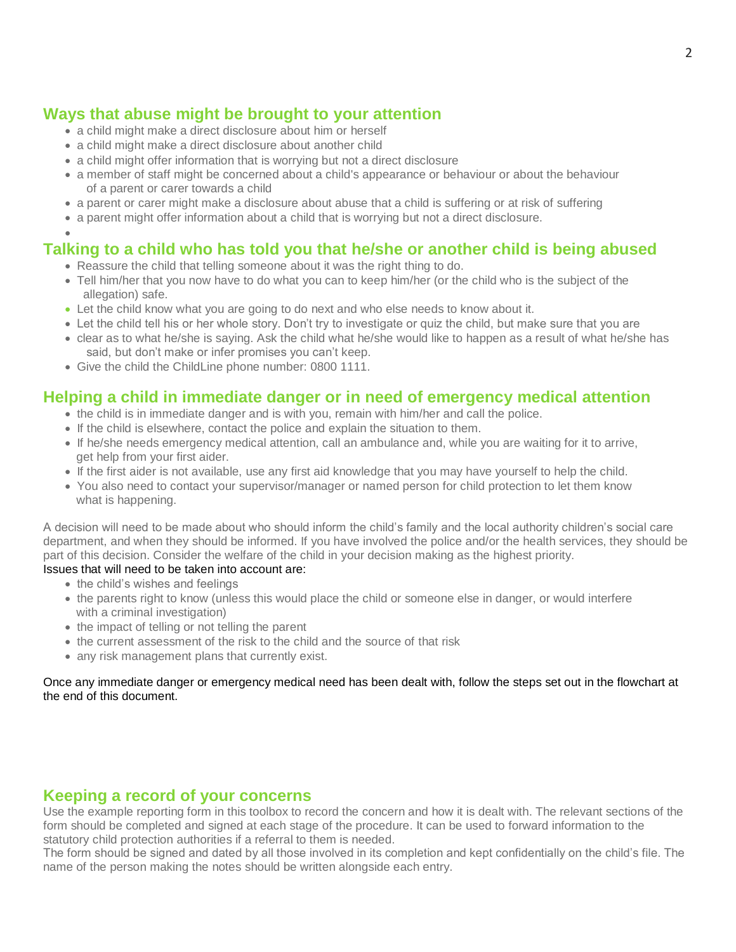# **Ways that abuse might be brought to your attention**

- a child might make a direct disclosure about him or herself
- a child might make a direct disclosure about another child
- a child might offer information that is worrying but not a direct disclosure
- a member of staff might be concerned about a child's appearance or behaviour or about the behaviour of a parent or carer towards a child
- a parent or carer might make a disclosure about abuse that a child is suffering or at risk of suffering
- a parent might offer information about a child that is worrying but not a direct disclosure.

#### • **Talking to a child who has told you that he/she or another child is being abused**

- Reassure the child that telling someone about it was the right thing to do.
- Tell him/her that you now have to do what you can to keep him/her (or the child who is the subject of the allegation) safe.
- Let the child know what you are going to do next and who else needs to know about it.
- Let the child tell his or her whole story. Don't try to investigate or quiz the child, but make sure that you are
- clear as to what he/she is saying. Ask the child what he/she would like to happen as a result of what he/she has said, but don't make or infer promises you can't keep.
- Give the child the ChildLine phone number: 0800 1111.

### **Helping a child in immediate danger or in need of emergency medical attention**

- the child is in immediate danger and is with you, remain with him/her and call the police.
- If the child is elsewhere, contact the police and explain the situation to them.
- If he/she needs emergency medical attention, call an ambulance and, while you are waiting for it to arrive, get help from your first aider.
- If the first aider is not available, use any first aid knowledge that you may have yourself to help the child.
- You also need to contact your supervisor/manager or named person for child protection to let them know what is happening.

A decision will need to be made about who should inform the child's family and the local authority children's social care department, and when they should be informed. If you have involved the police and/or the health services, they should be part of this decision. Consider the welfare of the child in your decision making as the highest priority. Issues that will need to be taken into account are:

- the child's wishes and feelings
- the parents right to know (unless this would place the child or someone else in danger, or would interfere with a criminal investigation)
- the impact of telling or not telling the parent
- the current assessment of the risk to the child and the source of that risk
- any risk management plans that currently exist.

Once any immediate danger or emergency medical need has been dealt with, follow the steps set out in the flowchart at the end of this document.

### **Keeping a record of your concerns**

Use the example reporting form in this toolbox to record the concern and how it is dealt with. The relevant sections of the form should be completed and signed at each stage of the procedure. It can be used to forward information to the statutory child protection authorities if a referral to them is needed.

The form should be signed and dated by all those involved in its completion and kept confidentially on the child's file. The name of the person making the notes should be written alongside each entry.